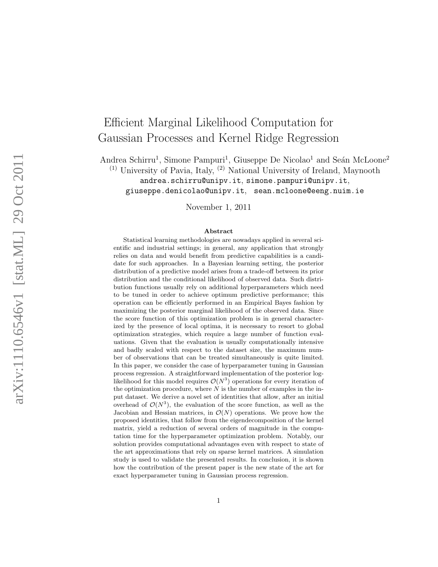# Efficient Marginal Likelihood Computation for Gaussian Processes and Kernel Ridge Regression

Andrea Schirru<sup>1</sup>, Simone Pampuri<sup>1</sup>, Giuseppe De Nicolao<sup>1</sup> and Seán McLoone<sup>2</sup>  $(1)$  University of Pavia, Italy,  $(2)$  National University of Ireland, Maynooth andrea.schirru@unipv.it, simone.pampuri@unipv.it, giuseppe.denicolao@unipv.it, sean.mcloone@eeng.nuim.ie

November 1, 2011

#### Abstract

Statistical learning methodologies are nowadays applied in several scientific and industrial settings; in general, any application that strongly relies on data and would benefit from predictive capabilities is a candidate for such approaches. In a Bayesian learning setting, the posterior distribution of a predictive model arises from a trade-off between its prior distribution and the conditional likelihood of observed data. Such distribution functions usually rely on additional hyperparameters which need to be tuned in order to achieve optimum predictive performance; this operation can be efficiently performed in an Empirical Bayes fashion by maximizing the posterior marginal likelihood of the observed data. Since the score function of this optimization problem is in general characterized by the presence of local optima, it is necessary to resort to global optimization strategies, which require a large number of function evaluations. Given that the evaluation is usually computationally intensive and badly scaled with respect to the dataset size, the maximum number of observations that can be treated simultaneously is quite limited. In this paper, we consider the case of hyperparameter tuning in Gaussian process regression. A straightforward implementation of the posterior loglikelihood for this model requires  $\mathcal{O}(N^3)$  operations for every iteration of the optimization procedure, where  $N$  is the number of examples in the input dataset. We derive a novel set of identities that allow, after an initial overhead of  $\mathcal{O}(N^3)$ , the evaluation of the score function, as well as the Jacobian and Hessian matrices, in  $\mathcal{O}(N)$  operations. We prove how the proposed identities, that follow from the eigendecomposition of the kernel matrix, yield a reduction of several orders of magnitude in the computation time for the hyperparameter optimization problem. Notably, our solution provides computational advantages even with respect to state of the art approximations that rely on sparse kernel matrices. A simulation study is used to validate the presented results. In conclusion, it is shown how the contribution of the present paper is the new state of the art for exact hyperparameter tuning in Gaussian process regression.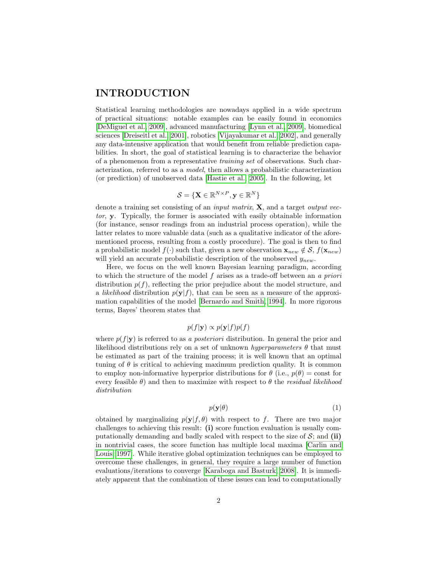## INTRODUCTION

Statistical learning methodologies are nowadays applied in a wide spectrum of practical situations: notable examples can be easily found in economics [\[DeMiguel et al., 2009\]](#page-18-0), advanced manufacturing [\[Lynn et al., 2009\]](#page-18-1), biomedical sciences [\[Dreiseitl et al., 2001\]](#page-18-2), robotics [\[Vijayakumar et al., 2002\]](#page-19-0), and generally any data-intensive application that would benefit from reliable prediction capabilities. In short, the goal of statistical learning is to characterize the behavior of a phenomenon from a representative training set of observations. Such characterization, referred to as a model, then allows a probabilistic characterization (or prediction) of unobserved data [\[Hastie et al., 2005\]](#page-18-3). In the following, let

$$
\mathcal{S} = \{\mathbf{X} \in \mathbb{R}^{N \times P}, \mathbf{y} \in \mathbb{R}^N\}
$$

denote a training set consisting of an *input matrix*,  $X$ , and a target *output vec*tor, y. Typically, the former is associated with easily obtainable information (for instance, sensor readings from an industrial process operation), while the latter relates to more valuable data (such as a qualitative indicator of the aforementioned process, resulting from a costly procedure). The goal is then to find a probabilistic model  $f(\cdot)$  such that, given a new observation  $\mathbf{x}_{new} \notin S$ ,  $f(\mathbf{x}_{new})$ will yield an accurate probabilistic description of the unobserved  $y_{new}$ .

Here, we focus on the well known Bayesian learning paradigm, according to which the structure of the model f arises as a trade-off between an a priori distribution  $p(f)$ , reflecting the prior prejudice about the model structure, and a *likelihood* distribution  $p(\mathbf{y}|f)$ , that can be seen as a measure of the approximation capabilities of the model [\[Bernardo and Smith, 1994\]](#page-18-4). In more rigorous terms, Bayes' theorem states that

$$
p(f|\mathbf{y}) \propto p(\mathbf{y}|f)p(f)
$$

where  $p(f|\mathbf{y})$  is referred to as a *posteriori* distribution. In general the prior and likelihood distributions rely on a set of unknown *hyperparameters*  $\theta$  that must be estimated as part of the training process; it is well known that an optimal tuning of  $\theta$  is critical to achieving maximum prediction quality. It is common to employ non-informative hyperprior distributions for  $\theta$  (i.e.,  $p(\theta) = \text{const}$  for every feasible  $\theta$ ) and then to maximize with respect to  $\theta$  the residual likelihood distribution

$$
p(\mathbf{y}|\theta) \tag{1}
$$

obtained by marginalizing  $p(\mathbf{y}|f, \theta)$  with respect to f. There are two major challenges to achieving this result: (i) score function evaluation is usually computationally demanding and badly scaled with respect to the size of  $S$ ; and (ii) in nontrivial cases, the score function has multiple local maxima [\[Carlin and](#page-18-5) [Louis, 1997\]](#page-18-5). While iterative global optimization techniques can be employed to overcome these challenges, in general, they require a large number of function evaluations/iterations to converge [\[Karaboga and Basturk, 2008\]](#page-18-6). It is immediately apparent that the combination of these issues can lead to computationally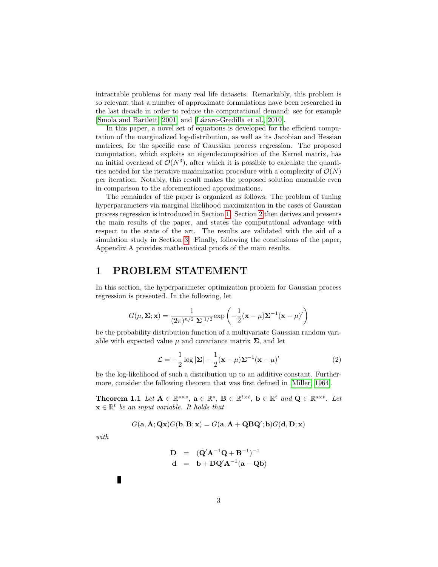intractable problems for many real life datasets. Remarkably, this problem is so relevant that a number of approximate formulations have been researched in the last decade in order to reduce the computational demand: see for example [\[Smola and Bartlett, 2001\]](#page-18-7) and [Lázaro-Gredilla et al., 2010].

In this paper, a novel set of equations is developed for the efficient computation of the marginalized log-distribution, as well as its Jacobian and Hessian matrices, for the specific case of Gaussian process regression. The proposed computation, which exploits an eigendecomposition of the Kernel matrix, has an initial overhead of  $\mathcal{O}(N^3)$ , after which it is possible to calculate the quantities needed for the iterative maximization procedure with a complexity of  $\mathcal{O}(N)$ per iteration. Notably, this result makes the proposed solution amenable even in comparison to the aforementioned approximations.

The remainder of the paper is organized as follows: The problem of tuning hyperparameters via marginal likelihood maximization in the cases of Gaussian process regression is introduced in Section [1.](#page-2-0) Section [2](#page-5-0) then derives and presents the main results of the paper, and states the computational advantage with respect to the state of the art. The results are validated with the aid of a simulation study in Section [3.](#page-11-0) Finally, following the conclusions of the paper, Appendix A provides mathematical proofs of the main results.

## <span id="page-2-0"></span>1 PROBLEM STATEMENT

In this section, the hyperparameter optimization problem for Gaussian process regression is presented. In the following, let

$$
G(\mu, \Sigma; \mathbf{x}) = \frac{1}{(2\pi)^{n/2} |\Sigma|^{1/2}} \exp\left(-\frac{1}{2}(\mathbf{x} - \mu)\Sigma^{-1}(\mathbf{x} - \mu)'\right)
$$

be the probability distribution function of a multivariate Gaussian random variable with expected value  $\mu$  and covariance matrix  $\Sigma$ , and let

<span id="page-2-2"></span>
$$
\mathcal{L} = -\frac{1}{2}\log|\mathbf{\Sigma}| - \frac{1}{2}(\mathbf{x} - \mu)\mathbf{\Sigma}^{-1}(\mathbf{x} - \mu)'
$$
 (2)

be the log-likelihood of such a distribution up to an additive constant. Furthermore, consider the following theorem that was first defined in [\[Miller, 1964\]](#page-18-9).

<span id="page-2-1"></span>**Theorem 1.1** Let  $A \in \mathbb{R}^{s \times s}$ ,  $a \in \mathbb{R}^s$ ,  $B \in \mathbb{R}^{t \times t}$ ,  $b \in \mathbb{R}^t$  and  $\mathbf{Q} \in \mathbb{R}^{s \times t}$ . Let  $\mathbf{x} \in \mathbb{R}^t$  be an input variable. It holds that

$$
G(\mathbf{a}, \mathbf{A}; \mathbf{Q}\mathbf{x})G(\mathbf{b}, \mathbf{B}; \mathbf{x}) = G(\mathbf{a}, \mathbf{A} + \mathbf{Q}\mathbf{B}\mathbf{Q}'; \mathbf{b})G(\mathbf{d}, \mathbf{D}; \mathbf{x})
$$

with

$$
D = (Q'A^{-1}Q + B^{-1})^{-1}
$$
  

$$
d = b + DQ'A^{-1}(a - Qb)
$$

п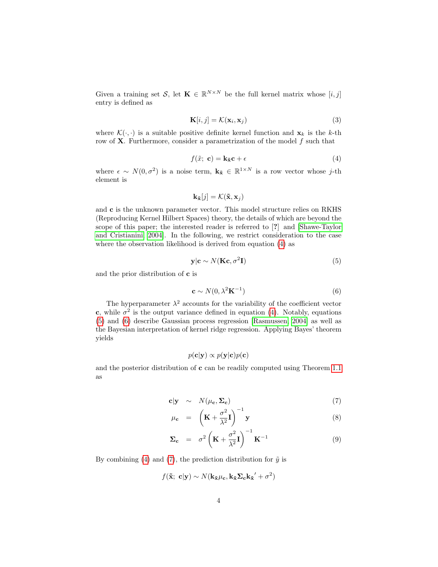Given a training set S, let  $\mathbf{K} \in \mathbb{R}^{N \times N}$  be the full kernel matrix whose  $[i, j]$ entry is defined as

<span id="page-3-4"></span>
$$
\mathbf{K}[i,j] = \mathcal{K}(\mathbf{x}_i, \mathbf{x}_j) \tag{3}
$$

where  $\mathcal{K}(\cdot, \cdot)$  is a suitable positive definite kernel function and  $\mathbf{x}_k$  is the k-th row of  $X$ . Furthermore, consider a parametrization of the model  $f$  such that

<span id="page-3-0"></span>
$$
f(\tilde{x}; \mathbf{c}) = \mathbf{k}_{\tilde{\mathbf{x}}} \mathbf{c} + \epsilon \tag{4}
$$

where  $\epsilon \sim N(0, \sigma^2)$  is a noise term,  $\mathbf{k}_{\tilde{x}} \in \mathbb{R}^{1 \times N}$  is a row vector whose j-th element is

$$
\mathbf{k}_{\tilde{\mathbf{x}}}[j] = \mathcal{K}(\tilde{\mathbf{x}}, \mathbf{x}_j)
$$

and c is the unknown parameter vector. This model structure relies on RKHS (Reproducing Kernel Hilbert Spaces) theory, the details of which are beyond the scope of this paper; the interested reader is referred to [?] and [\[Shawe-Taylor](#page-18-10) [and Cristianini, 2004\]](#page-18-10). In the following, we restrict consideration to the case where the observation likelihood is derived from equation [\(4\)](#page-3-0) as

<span id="page-3-1"></span>
$$
y|c \sim N(Kc, \sigma^2 I)
$$
 (5)

and the prior distribution of c is

<span id="page-3-2"></span>
$$
\mathbf{c} \sim N(0, \lambda^2 \mathbf{K}^{-1})
$$
 (6)

The hyperparameter  $\lambda^2$  accounts for the variability of the coefficient vector c, while  $\sigma^2$  is the output variance defined in equation [\(4\)](#page-3-0). Notably, equations [\(5\)](#page-3-1) and [\(6\)](#page-3-2) describe Gaussian process regression [\[Rasmussen, 2004\]](#page-18-11) as well as the Bayesian interpretation of kernel ridge regression. Applying Bayes' theorem yields

$$
p(\mathbf{c}|\mathbf{y}) \propto p(\mathbf{y}|\mathbf{c})p(\mathbf{c})
$$

and the posterior distribution of c can be readily computed using Theorem [1.1](#page-2-1) as

$$
\mathbf{c}|\mathbf{y} \sim N(\mu_{\mathbf{c}}, \Sigma_{\mathbf{c}}) \tag{7}
$$

<span id="page-3-3"></span>
$$
\mu_{\mathbf{c}} = \left( \mathbf{K} + \frac{\sigma^2}{\lambda^2} \mathbf{I} \right)^{-1} \mathbf{y}
$$
\n(8)

$$
\Sigma_{\mathbf{c}} = \sigma^2 \left( \mathbf{K} + \frac{\sigma^2}{\lambda^2} \mathbf{I} \right)^{-1} \mathbf{K}^{-1}
$$
 (9)

By combining [\(4\)](#page-3-0) and [\(7\)](#page-3-3), the prediction distribution for  $\tilde{y}$  is

$$
f(\tilde{\mathbf{x}}; \; \mathbf{c} | \mathbf{y}) \sim N(\mathbf{k}_{\tilde{\mathbf{x}}} \mu_{\mathbf{c}}, \mathbf{k}_{\tilde{\mathbf{x}}} \mathbf{\Sigma}_{\mathbf{c}} \mathbf{k}_{\tilde{\mathbf{x}}}' + \sigma^2)
$$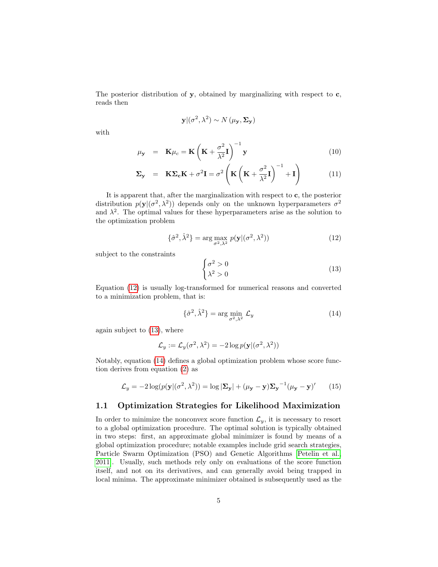The posterior distribution of  $y$ , obtained by marginalizing with respect to  $c$ , reads then

$$
\mathbf{y} | (\sigma^2, \lambda^2) \sim N(\mu_{\mathbf{y}}, \Sigma_{\mathbf{y}})
$$

with

$$
\mu_{\mathbf{y}} = \mathbf{K}\mu_c = \mathbf{K}\left(\mathbf{K} + \frac{\sigma^2}{\lambda^2}\mathbf{I}\right)^{-1}\mathbf{y}
$$
\n(10)

<span id="page-4-3"></span>
$$
\Sigma_{\mathbf{y}} = \mathbf{K} \Sigma_{\mathbf{c}} \mathbf{K} + \sigma^2 \mathbf{I} = \sigma^2 \left( \mathbf{K} \left( \mathbf{K} + \frac{\sigma^2}{\lambda^2} \mathbf{I} \right)^{-1} + \mathbf{I} \right) \tag{11}
$$

It is apparent that, after the marginalization with respect to c, the posterior distribution  $p(\mathbf{y} | (\sigma^2, \lambda^2))$  depends only on the unknown hyperparameters  $\sigma^2$ and  $\lambda^2$ . The optimal values for these hyperparameters arise as the solution to the optimization problem

<span id="page-4-0"></span>
$$
\{\hat{\sigma}^2, \hat{\lambda}^2\} = \arg\max_{\sigma^2, \lambda^2} p(\mathbf{y} | (\sigma^2, \lambda^2))
$$
\n(12)

subject to the constraints

<span id="page-4-1"></span>
$$
\begin{cases}\n\sigma^2 > 0 \\
\lambda^2 > 0\n\end{cases} \tag{13}
$$

Equation [\(12\)](#page-4-0) is usually log-transformed for numerical reasons and converted to a minimization problem, that is:

<span id="page-4-2"></span>
$$
\{\hat{\sigma}^2, \hat{\lambda}^2\} = \arg\min_{\sigma^2, \lambda^2} \mathcal{L}_y
$$
\n(14)

again subject to [\(13\)](#page-4-1), where

$$
\mathcal{L}_y := \mathcal{L}_y(\sigma^2, \lambda^2) = -2\log p(\mathbf{y} | (\sigma^2, \lambda^2))
$$

Notably, equation [\(14\)](#page-4-2) defines a global optimization problem whose score function derives from equation [\(2\)](#page-2-2) as

$$
\mathcal{L}_y = -2\log(p(\mathbf{y} | (\sigma^2, \lambda^2)) = \log |\mathbf{\Sigma}_\mathbf{y}| + (\mu_\mathbf{y} - \mathbf{y}) \mathbf{\Sigma}_\mathbf{y}^{-1} (\mu_\mathbf{y} - \mathbf{y})' \tag{15}
$$

#### <span id="page-4-4"></span>1.1 Optimization Strategies for Likelihood Maximization

In order to minimize the nonconvex score function  $\mathcal{L}_y$ , it is necessary to resort to a global optimization procedure. The optimal solution is typically obtained in two steps: first, an approximate global minimizer is found by means of a global optimization procedure; notable examples include grid search strategies, Particle Swarm Optimization (PSO) and Genetic Algorithms [\[Petelin et al.,](#page-18-12) [2011\]](#page-18-12). Usually, such methods rely only on evaluations of the score function itself, and not on its derivatives, and can generally avoid being trapped in local minima. The approximate minimizer obtained is subsequently used as the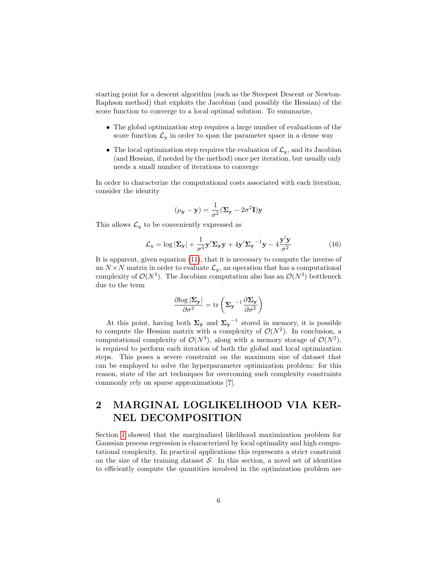starting point for a descent algorithm (such as the Steepest Descent or Newton-Raphson method) that exploits the Jacobian (and possibly the Hessian) of the score function to converge to a local optimal solution. To summarize,

- The global optimization step requires a large number of evaluations of the score function  $\mathcal{L}_y$  in order to span the parameter space in a dense way
- The local optimization step requires the evaluation of  $\mathcal{L}_y$ , and its Jacobian (and Hessian, if needed by the method) once per iteration, but usually only needs a small number of iterations to converge

In order to characterize the computational costs associated with each iteration, consider the identity

$$
(\mu_{\mathbf{y}} - \mathbf{y}) = \frac{1}{\sigma^2} (\mathbf{\Sigma}_{\mathbf{y}} - 2\sigma^2 \mathbf{I}) \mathbf{y}
$$

This allows  $\mathcal{L}_y$  to be conveniently expressed as

$$
\mathcal{L}_y = \log |\mathbf{\Sigma}_\mathbf{y}| + \frac{1}{\sigma^4} \mathbf{y}' \mathbf{\Sigma}_\mathbf{y} \mathbf{y} + 4 \mathbf{y}' \mathbf{\Sigma}_\mathbf{y}^{-1} \mathbf{y} - 4 \frac{\mathbf{y}' \mathbf{y}}{\sigma^2}
$$
(16)

It is apparent, given equation [\(11\)](#page-4-3), that it is necessary to compute the inverse of an  $N \times N$  matrix in order to evaluate  $\mathcal{L}_y$ , an operation that has a computational complexity of  $\mathcal{O}(N^3)$ . The Jacobian computation also has an  $\mathcal{O}(N^3)$  bottleneck due to the term

$$
\frac{\partial \mathrm{log} \left|\boldsymbol{\Sigma}_{\mathbf{y}}\right|}{\partial \sigma^2} = \mathrm{tr}\left(\boldsymbol{\Sigma}_{\mathbf{y}}^{-1} \frac{\partial \boldsymbol{\Sigma}_{\mathbf{y}}}{\partial \sigma^2}\right)
$$

At this point, having both  $\Sigma_y$  and  $\Sigma_y$ <sup>-1</sup> stored in memory, it is possible to compute the Hessian matrix with a complexity of  $\mathcal{O}(N^2)$ . In conclusion, a computational complexity of  $\mathcal{O}(N^3)$ , along with a memory storage of  $\mathcal{O}(N^2)$ , is required to perform each iteration of both the global and local optimization steps. This poses a severe constraint on the maximum size of dataset that can be employed to solve the hyperparameter optimization problem: for this reason, state of the art techniques for overcoming such complexity constraints commonly rely on sparse approximations [?].

## <span id="page-5-0"></span>2 MARGINAL LOGLIKELIHOOD VIA KER-NEL DECOMPOSITION

Section [1](#page-2-0) showed that the marginalized likelihood maximization problem for Gaussian process regression is characterized by local optimality and high computational complexity. In practical applications this represents a strict constraint on the size of the training dataset  $S$ . In this section, a novel set of identities to efficiently compute the quantities involved in the optimization problem are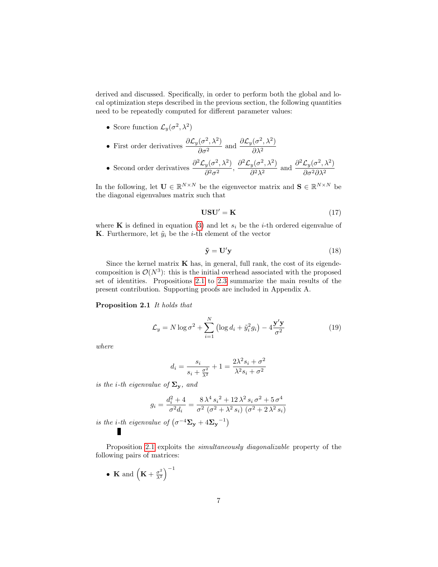derived and discussed. Specifically, in order to perform both the global and local optimization steps described in the previous section, the following quantities need to be repeatedly computed for different parameter values:

• Score function  $\mathcal{L}_y(\sigma^2, \lambda^2)$ 

• First order derivatives 
$$
\frac{\partial \mathcal{L}_y(\sigma^2, \lambda^2)}{\partial \sigma^2}
$$
 and  $\frac{\partial \mathcal{L}_y(\sigma^2, \lambda^2)}{\partial \lambda^2}$ 

• Second order derivatives  $\frac{\partial^2 \mathcal{L}_y(\sigma^2, \lambda^2)}{\partial^2}$  $rac{y(\sigma^2,\lambda^2)}{\partial^2\sigma^2},\, \frac{\partial^2 \mathcal{L}_y(\sigma^2,\lambda^2)}{\partial^2\lambda^2}$  $\frac{y(\sigma^2, \lambda^2)}{\partial^2 \lambda^2}$  and  $\frac{\partial^2 \mathcal{L}_y(\sigma^2, \lambda^2)}{\partial \sigma^2 \partial \lambda^2}$ ∂σ2∂λ<sup>2</sup>

In the following, let  $\mathbf{U} \in \mathbb{R}^{N \times N}$  be the eigenvector matrix and  $\mathbf{S} \in \mathbb{R}^{N \times N}$  be the diagonal eigenvalues matrix such that

$$
USU' = K \tag{17}
$$

where **K** is defined in equation [\(3\)](#page-3-4) and let  $s_i$  be the *i*-th ordered eigenvalue of **K**. Furthermore, let  $\tilde{y}_i$  be the *i*-th element of the vector

$$
\tilde{\mathbf{y}} = \mathbf{U}' \mathbf{y} \tag{18}
$$

Since the kernel matrix  $\bf{K}$  has, in general, full rank, the cost of its eigendecomposition is  $\mathcal{O}(N^3)$ : this is the initial overhead associated with the proposed set of identities. Propositions [2.1](#page-6-0) to [2.3](#page-7-0) summarize the main results of the present contribution. Supporting proofs are included in Appendix A.

<span id="page-6-0"></span>Proposition 2.1 It holds that

<span id="page-6-1"></span>
$$
\mathcal{L}_y = N \log \sigma^2 + \sum_{i=1}^N \left( \log d_i + \tilde{y}_i^2 g_i \right) - 4 \frac{\mathbf{y}' \mathbf{y}}{\sigma^2}
$$
(19)

where

$$
d_i = \frac{s_i}{s_i + \frac{\sigma^2}{\lambda^2}} + 1 = \frac{2\lambda^2 s_i + \sigma^2}{\lambda^2 s_i + \sigma^2}
$$

is the i-th eigenvalue of  $\Sigma_{\mathbf{y}}$ , and

$$
g_i = \frac{d_i^2 + 4}{\sigma^2 d_i} = \frac{8\lambda^4 s_i^2 + 12\lambda^2 s_i \sigma^2 + 5\sigma^4}{\sigma^2 (\sigma^2 + \lambda^2 s_i) (\sigma^2 + 2\lambda^2 s_i)}
$$

is the *i*-th eigenvalue of  $(\sigma^{-4}\Sigma_y + 4\Sigma_y - 1)$ П

Proposition [2.1](#page-6-0) exploits the *simultaneously diagonalizable* property of the following pairs of matrices:

• K and  $(K + \frac{\sigma^2}{\lambda^2})$  $\frac{\sigma^2}{\lambda^2}\Big)^{-1}$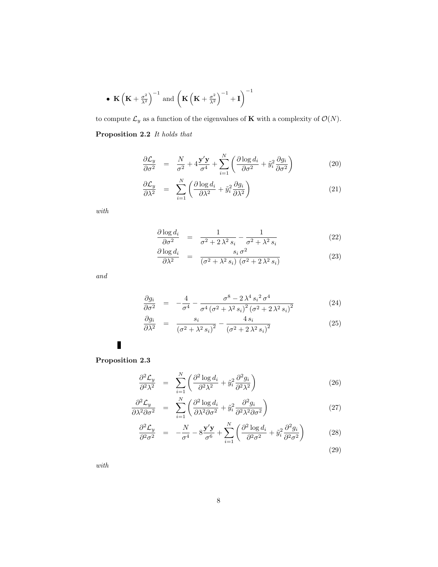$$
\bullet\;\mathbf{K}\left(\mathbf{K}+\tfrac{\sigma^2}{\lambda^2}\right)^{-1}\;\textrm{and}\; \left(\mathbf{K}\left(\mathbf{K}+\tfrac{\sigma^2}{\lambda^2}\right)^{-1}+\mathbf{I}\right)^{-1}
$$

<span id="page-7-1"></span>to compute  $\mathcal{L}_y$  as a function of the eigenvalues of  $\mathbf K$  with a complexity of  $\mathcal{O}(N).$ Proposition 2.2 It holds that

<span id="page-7-2"></span>
$$
\frac{\partial \mathcal{L}_y}{\partial \sigma^2} = \frac{N}{\sigma^2} + 4 \frac{\mathbf{y}' \mathbf{y}}{\sigma^4} + \sum_{i=1}^N \left( \frac{\partial \log d_i}{\partial \sigma^2} + \tilde{y}_i^2 \frac{\partial g_i}{\partial \sigma^2} \right)
$$
(20)

$$
\frac{\partial \mathcal{L}_y}{\partial \lambda^2} = \sum_{i=1}^N \left( \frac{\partial \log d_i}{\partial \lambda^2} + \tilde{y}_i^2 \frac{\partial g_i}{\partial \lambda^2} \right) \tag{21}
$$

 $with$ 

$$
\frac{\partial \log d_i}{\partial \sigma^2} = \frac{1}{\sigma^2 + 2\lambda^2 s_i} - \frac{1}{\sigma^2 + \lambda^2 s_i} \tag{22}
$$

$$
\frac{\partial \log d_i}{\partial \lambda^2} = \frac{s_i \sigma^2}{(\sigma^2 + \lambda^2 s_i) (\sigma^2 + 2 \lambda^2 s_i)}
$$
(23)

and

$$
\frac{\partial g_i}{\partial \sigma^2} = -\frac{4}{\sigma^4} - \frac{\sigma^8 - 2\lambda^4 s_i^2 \sigma^4}{\sigma^4 (\sigma^2 + \lambda^2 s_i)^2 (\sigma^2 + 2\lambda^2 s_i)^2}
$$
(24)

$$
\frac{\partial g_i}{\partial \lambda^2} = \frac{s_i}{\left(\sigma^2 + \lambda^2 s_i\right)^2} - \frac{4 s_i}{\left(\sigma^2 + 2 \lambda^2 s_i\right)^2} \tag{25}
$$

 $\blacksquare$ 

## <span id="page-7-0"></span>Proposition 2.3

<span id="page-7-3"></span>
$$
\frac{\partial^2 \mathcal{L}_y}{\partial^2 \lambda^2} = \sum_{i=1}^N \left( \frac{\partial^2 \log d_i}{\partial^2 \lambda^2} + \tilde{y}_i^2 \frac{\partial^2 g_i}{\partial^2 \lambda^2} \right) \tag{26}
$$

$$
\frac{\partial^2 \mathcal{L}_y}{\partial \lambda^2 \partial \sigma^2} = \sum_{i=1}^N \left( \frac{\partial^2 \log d_i}{\partial \lambda^2 \partial \sigma^2} + \tilde{y}_i^2 \frac{\partial^2 g_i}{\partial^2 \lambda^2 \partial \sigma^2} \right)
$$
(27)

$$
\frac{\partial^2 \mathcal{L}_y}{\partial^2 \sigma^2} = -\frac{N}{\sigma^4} - 8\frac{\mathbf{y}'\mathbf{y}}{\sigma^6} + \sum_{i=1}^N \left( \frac{\partial^2 \log d_i}{\partial^2 \sigma^2} + \tilde{y}_i^2 \frac{\partial^2 g_i}{\partial^2 \sigma^2} \right) \tag{28}
$$

$$
(29)
$$

with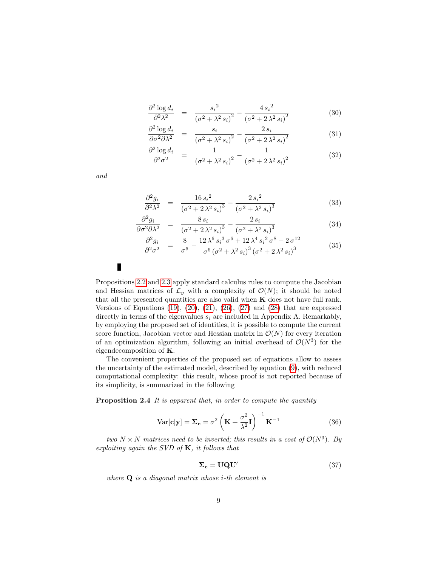$$
\frac{\partial^2 \log d_i}{\partial^2 \lambda^2} = \frac{{s_i}^2}{\left(\sigma^2 + \lambda^2 s_i\right)^2} - \frac{4 s_i^2}{\left(\sigma^2 + 2 \lambda^2 s_i\right)^2} \tag{30}
$$

$$
\frac{\partial^2 \log d_i}{\partial \sigma^2 \partial \lambda^2} = \frac{s_i}{\left(\sigma^2 + \lambda^2 s_i\right)^2} - \frac{2 s_i}{\left(\sigma^2 + 2 \lambda^2 s_i\right)^2} \tag{31}
$$

$$
\frac{\partial^2 \log d_i}{\partial^2 \sigma^2} = \frac{1}{\left(\sigma^2 + \lambda^2 s_i\right)^2} - \frac{1}{\left(\sigma^2 + 2\lambda^2 s_i\right)^2} \tag{32}
$$

and

$$
\frac{\partial^2 g_i}{\partial \lambda^2} = \frac{16 s_i^2}{(\sigma^2 + 2\lambda^2 s_i)^3} - \frac{2 s_i^2}{(\sigma^2 + \lambda^2 s_i)^3}
$$
(33)

$$
\frac{\partial^2 g_i}{\partial \sigma^2 \partial \lambda^2} = \frac{8 s_i}{\left(\sigma^2 + 2 \lambda^2 s_i\right)^3} - \frac{2 s_i}{\left(\sigma^2 + \lambda^2 s_i\right)^3} \tag{34}
$$

$$
\frac{\partial^2 g_i}{\partial^2 \sigma^2} = \frac{8}{\sigma^6} - \frac{12 \lambda^6 s_i^3 \sigma^6 + 12 \lambda^4 s_i^2 \sigma^8 - 2 \sigma^{12}}{\sigma^6 (\sigma^2 + \lambda^2 s_i)^3 (\sigma^2 + 2 \lambda^2 s_i)^3}
$$
(35)

П

Propositions [2.2](#page-7-1) and [2.3](#page-7-0) apply standard calculus rules to compute the Jacobian and Hessian matrices of  $\mathcal{L}_y$  with a complexity of  $\mathcal{O}(N)$ ; it should be noted that all the presented quantities are also valid when  $K$  does not have full rank. Versions of Equations  $(19)$ ,  $(20)$ ,  $(21)$ ,  $(26)$ ,  $(27)$  and  $(28)$  that are expressed directly in terms of the eigenvalues  $s_i$  are included in Appendix A. Remarkably, by employing the proposed set of identities, it is possible to compute the current score function, Jacobian vector and Hessian matrix in  $\mathcal{O}(N)$  for every iteration of an optimization algorithm, following an initial overhead of  $\mathcal{O}(N^3)$  for the eigendecomposition of K.

The convenient properties of the proposed set of equations allow to assess the uncertainty of the estimated model, described by equation [\(9\)](#page-3-3), with reduced computational complexity: this result, whose proof is not reported because of its simplicity, is summarized in the following

Proposition 2.4 It is apparent that, in order to compute the quantity

<span id="page-8-1"></span>
$$
Var[\mathbf{c}|\mathbf{y}] = \Sigma_{\mathbf{c}} = \sigma^2 \left( \mathbf{K} + \frac{\sigma^2}{\lambda^2} \mathbf{I} \right)^{-1} \mathbf{K}^{-1}
$$
 (36)

two  $N \times N$  matrices need to be inverted; this results in a cost of  $\mathcal{O}(N^3)$ . By exploiting again the SVD of  $K$ , it follows that

<span id="page-8-0"></span>
$$
\Sigma_{\rm c} = \mathbf{U}\mathbf{Q}\mathbf{U}'\tag{37}
$$

where  $Q$  is a diagonal matrix whose *i*-th element is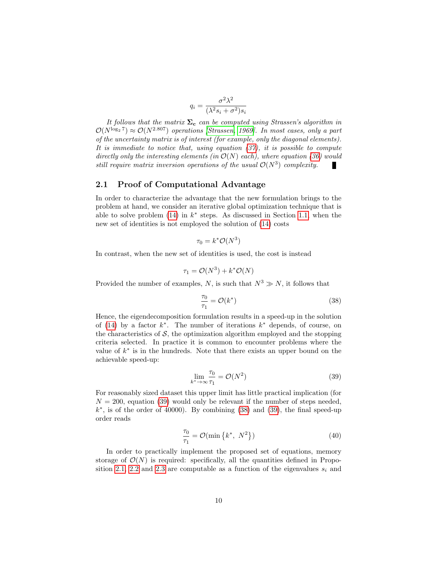$$
q_i = \frac{\sigma^2 \lambda^2}{(\lambda^2 s_i + \sigma^2) s_i}
$$

It follows that the matrix  $\Sigma_c$  can be computed using Strassen's algorithm in  $\mathcal{O}(N^{\log_2 7}) \approx \mathcal{O}(N^{2.807})$  operations [\[Strassen, 1969\]](#page-19-1). In most cases, only a part of the uncertainty matrix is of interest (for example, only the diagonal elements). It is immediate to notice that, using equation [\(37\)](#page-8-0), it is possible to compute directly only the interesting elements (in  $\mathcal{O}(N)$  each), where equation [\(36\)](#page-8-1) would still require matrix inversion operations of the usual  $\mathcal{O}(N^3)$  complexity. J.

#### 2.1 Proof of Computational Advantage

In order to characterize the advantage that the new formulation brings to the problem at hand, we consider an iterative global optimization technique that is able to solve problem  $(14)$  in  $k^*$  steps. As discussed in Section [1.1,](#page-4-4) when the new set of identities is not employed the solution of [\(14\)](#page-4-2) costs

$$
\tau_0 = k^* \mathcal{O}(N^3)
$$

In contrast, when the new set of identities is used, the cost is instead

$$
\tau_1 = \mathcal{O}(N^3) + k^* \mathcal{O}(N)
$$

Provided the number of examples, N, is such that  $N^3 \gg N$ , it follows that

<span id="page-9-1"></span>
$$
\frac{\tau_0}{\tau_1} = \mathcal{O}(k^*)\tag{38}
$$

Hence, the eigendecomposition formulation results in a speed-up in the solution of [\(14\)](#page-4-2) by a factor  $k^*$ . The number of iterations  $k^*$  depends, of course, on the characteristics of  $S$ , the optimization algorithm employed and the stopping criteria selected. In practice it is common to encounter problems where the value of  $k^*$  is in the hundreds. Note that there exists an upper bound on the achievable speed-up:

<span id="page-9-0"></span>
$$
\lim_{k^* \to \infty} \frac{\tau_0}{\tau_1} = \mathcal{O}(N^2)
$$
\n(39)

For reasonably sized dataset this upper limit has little practical implication (for  $N = 200$ , equation [\(39\)](#page-9-0) would only be relevant if the number of steps needed,  $k^*$ , is of the order of 40000). By combining  $(38)$  and  $(39)$ , the final speed-up order reads

$$
\frac{\tau_0}{\tau_1} = \mathcal{O}(\min\left\{k^*, \ N^2\right\})\tag{40}
$$

In order to practically implement the proposed set of equations, memory storage of  $\mathcal{O}(N)$  is required: specifically, all the quantities defined in Propo-sition [2.1,](#page-6-0) [2.2](#page-7-1) and [2.3](#page-7-0) are computable as a function of the eigenvalues  $s_i$  and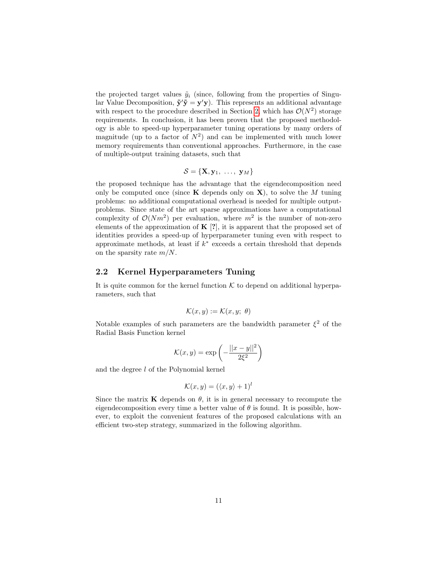the projected target values  $\tilde{y}_i$  (since, following from the properties of Singular Value Decomposition,  $\tilde{\mathbf{y}}' \tilde{\mathbf{y}} = \mathbf{y}' \mathbf{y}$ . This represents an additional advantage with respect to the procedure described in Section [2,](#page-5-0) which has  $\mathcal{O}(N^2)$  storage requirements. In conclusion, it has been proven that the proposed methodology is able to speed-up hyperparameter tuning operations by many orders of magnitude (up to a factor of  $N^2$ ) and can be implemented with much lower memory requirements than conventional approaches. Furthermore, in the case of multiple-output training datasets, such that

$$
\mathcal{S} = \{ \mathbf{X}, \mathbf{y}_1, \ldots, \mathbf{y}_M \}
$$

the proposed technique has the advantage that the eigendecomposition need only be computed once (since  $\bf{K}$  depends only on  $\bf{X}$ ), to solve the M tuning problems: no additional computational overhead is needed for multiple outputproblems. Since state of the art sparse approximations have a computational complexity of  $\mathcal{O}(Nm^2)$  per evaluation, where  $m^2$  is the number of non-zero elements of the approximation of  $K [?]$ , it is apparent that the proposed set of identities provides a speed-up of hyperparameter tuning even with respect to approximate methods, at least if  $k^*$  exceeds a certain threshold that depends on the sparsity rate  $m/N$ .

#### 2.2 Kernel Hyperparameters Tuning

It is quite common for the kernel function  $K$  to depend on additional hyperparameters, such that

$$
\mathcal{K}(x, y) := \mathcal{K}(x, y; \theta)
$$

Notable examples of such parameters are the bandwidth parameter  $\xi^2$  of the Radial Basis Function kernel

$$
\mathcal{K}(x, y) = \exp\left(-\frac{||x - y||^2}{2\xi^2}\right)
$$

and the degree l of the Polynomial kernel

$$
\mathcal{K}(x, y) = (\langle x, y \rangle + 1)^l
$$

Since the matrix **K** depends on  $\theta$ , it is in general necessary to recompute the eigendecomposition every time a better value of  $\theta$  is found. It is possible, however, to exploit the convenient features of the proposed calculations with an efficient two-step strategy, summarized in the following algorithm.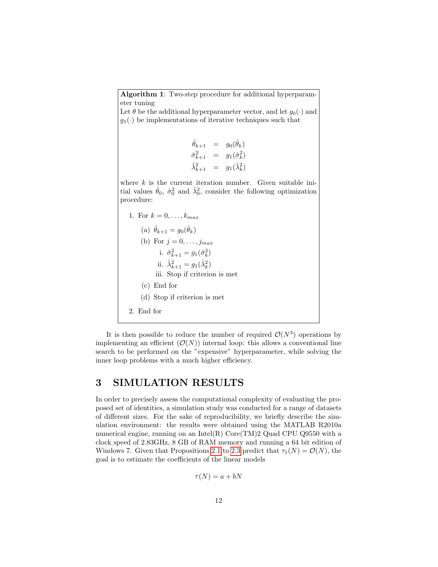Algorithm 1: Two-step procedure for additional hyperparameter tuning Let  $\theta$  be the additional hyperparameter vector, and let  $g_0(\cdot)$  and  $g_1(\cdot)$  be implementations of iterative techniques such that  $\hat{\theta}_{k+1}$  =  $g_0(\hat{\theta}_k)$  $\hat{\sigma}_{k+1}^2 = g_1(\hat{\sigma}_k^2)$  $\hat{\lambda}_{k+1}^2 = g_1(\hat{\lambda}_k^2)$ where  $k$  is the current iteration number. Given suitable initial values  $\hat{\theta}_0$ ,  $\hat{\sigma}_0^2$  and  $\hat{\lambda}_0^2$ , consider the following optimization procedure: 1. For  $k = 0, ..., k_{max}$ (a)  $\hat{\theta}_{k+1} = g_0(\hat{\theta}_k)$ (b) For  $j = 0, \ldots, j_{max}$ i.  $\hat{\sigma}_{k+1}^2 = g_1(\hat{\sigma}_k^2)$ ii.  $\hat{\lambda}_{k+1}^2 = g_1(\hat{\lambda}_k^2)$ iii. Stop if criterion is met (c) End for (d) Stop if criterion is met 2. End for

It is then possible to reduce the number of required  $\mathcal{O}(N^3)$  operations by implementing an efficient  $(\mathcal{O}(N))$  internal loop: this allows a conventional line search to be performed on the "expensive" hyperparameter, while solving the inner loop problems with a much higher efficiency.

## <span id="page-11-0"></span>3 SIMULATION RESULTS

In order to precisely assess the computational complexity of evaluating the proposed set of identities, a simulation study was conducted for a range of datasets of different sizes. For the sake of reproducibility, we briefly describe the simulation environment: the results were obtained using the MATLAB R2010a numerical engine, running on an Intel(R) Core(TM)2 Quad CPU Q9550 with a clock speed of 2.83GHz, 8 GB of RAM memory and running a 64 bit edition of Windows 7. Given that Propositions [2.1](#page-6-0) to [2.3](#page-7-0) predict that  $\tau_1(N) = \mathcal{O}(N)$ , the goal is to estimate the coefficients of the linear models

$$
\tau(N) = a + bN
$$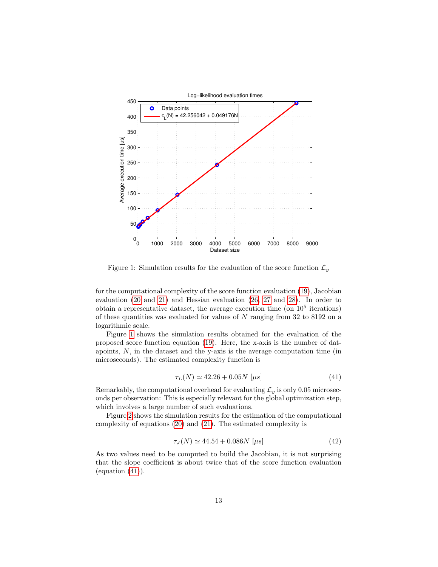

<span id="page-12-0"></span>Figure 1: Simulation results for the evaluation of the score function  $\mathcal{L}_y$ 

for the computational complexity of the score function evaluation [\(19\)](#page-6-1), Jacobian evaluation [\(20](#page-7-2) and [21\)](#page-7-2) and Hessian evaluation [\(26, 27](#page-7-3) and [28\)](#page-7-3). In order to obtain a representative dataset, the average execution time (on  $10<sup>5</sup>$  iterations) of these quantities was evaluated for values of N ranging from 32 to 8192 on a logarithmic scale.

Figure [1](#page-12-0) shows the simulation results obtained for the evaluation of the proposed score function equation [\(19\)](#page-6-1). Here, the x-axis is the number of datapoints, N, in the dataset and the y-axis is the average computation time (in microseconds). The estimated complexity function is

<span id="page-12-1"></span>
$$
\tau_L(N) \simeq 42.26 + 0.05N \,\,[\mu s] \tag{41}
$$

Remarkably, the computational overhead for evaluating  $\mathcal{L}_y$  is only 0.05 microseconds per observation: This is especially relevant for the global optimization step, which involves a large number of such evaluations.

Figure [2](#page-13-0) shows the simulation results for the estimation of the computational complexity of equations [\(20\)](#page-7-2) and [\(21\)](#page-7-2). The estimated complexity is

<span id="page-12-2"></span>
$$
\tau_J(N) \simeq 44.54 + 0.086N \,\,[\mu s] \tag{42}
$$

As two values need to be computed to build the Jacobian, it is not surprising that the slope coefficient is about twice that of the score function evaluation  $\left($ equation  $(41)\right)$  $(41)\right)$ .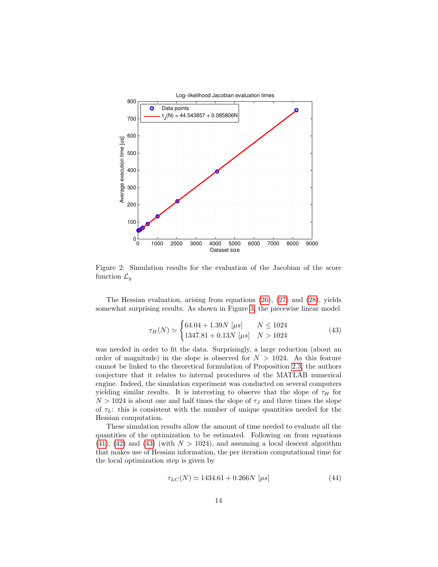

<span id="page-13-0"></span>Figure 2: Simulation results for the evaluation of the Jacobian of the score function  $\mathcal{L}_y$ 

The Hessian evaluation, arising from equations  $(26)$ ,  $(27)$  and  $(28)$ , yields somewhat surprising results. As shown in Figure [3,](#page-14-0) the piecewise linear model

<span id="page-13-1"></span>
$$
\tau_H(N) \simeq \begin{cases} 64.04 + 1.39N \ [\mu s] & N \le 1024 \\ 1347.81 + 0.13N \ [\mu s] & N > 1024 \end{cases}
$$
\n(43)

was needed in order to fit the data. Surprisingly, a large reduction (about an order of magnitude) in the slope is observed for  $N > 1024$ . As this feature cannot be linked to the theoretical formulation of Proposition [2.3,](#page-7-0) the authors conjecture that it relates to internal procedures of the MATLAB numerical engine. Indeed, the simulation experiment was conducted on several computers yielding similar results. It is interesting to observe that the slope of  $\tau_H$  for  $N > 1024$  is about one and half times the slope of  $\tau_J$  and three times the slope of  $\tau_L$ : this is consistent with the number of unique quantities needed for the Hessian computation.

These simulation results allow the amount of time needed to evaluate all the quantities of the optimization to be estimated. Following on from equations  $(41)$ ,  $(42)$  and  $(43)$  (with  $N > 1024$ ), and assuming a local descent algorithm that makes use of Hessian information, the per iteration computational time for the local optimization step is given by

$$
\tau_{LC}(N) \simeq 1434.61 + 0.266N \,\,[\mu s] \tag{44}
$$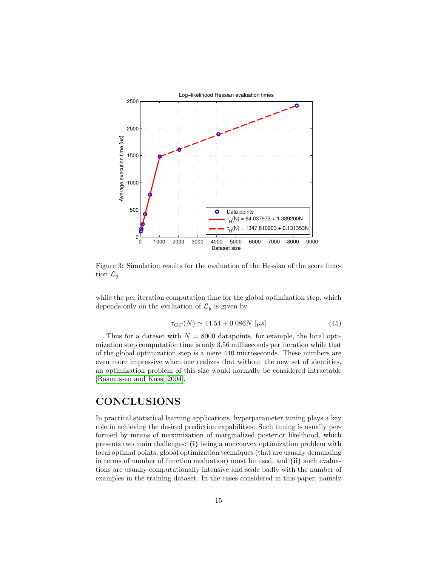

<span id="page-14-0"></span>Figure 3: Simulation results for the evaluation of the Hessian of the score function  $\mathcal{L}_y$ 

while the per iteration computation time for the global optimization step, which depends only on the evaluation of  $\mathcal{L}_y$  is given by

$$
\tau_{GC}(N) \simeq 44.54 + 0.086N \,\,[\mu s] \tag{45}
$$

Thus for a dataset with  $N = 8000$  datapoints, for example, the local optimization step computation time is only 3.56 milliseconds per iteration while that of the global optimization step is a mere 440 microseconds. These numbers are even more impressive when one realizes that without the new set of identities, an optimization problem of this size would normally be considered intractable [\[Rasmussen and Kuss, 2004\]](#page-18-13).

## CONCLUSIONS

In practical statistical learning applications, hyperparameter tuning plays a key role in achieving the desired prediction capabilities. Such tuning is usually performed by means of maximization of marginalized posterior likelihood, which presents two main challenges: (i) being a nonconvex optimization problem with local optimal points, global optimization techniques (that are usually demanding in terms of number of function evaluation) must be used, and (ii) such evaluations are usually computationally intensive and scale badly with the number of examples in the training dataset. In the cases considered in this paper, namely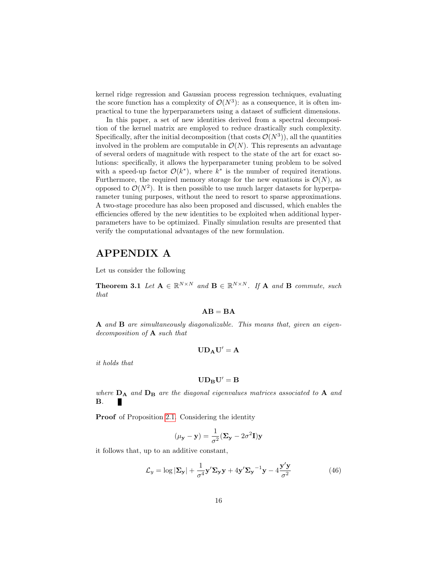kernel ridge regression and Gaussian process regression techniques, evaluating the score function has a complexity of  $\mathcal{O}(N^3)$ : as a consequence, it is often impractical to tune the hyperparameters using a dataset of sufficient dimensions.

In this paper, a set of new identities derived from a spectral decomposition of the kernel matrix are employed to reduce drastically such complexity. Specifically, after the initial decomposition (that costs  $\mathcal{O}(N^3)$ ), all the quantities involved in the problem are computable in  $\mathcal{O}(N)$ . This represents an advantage of several orders of magnitude with respect to the state of the art for exact solutions: specifically, it allows the hyperparameter tuning problem to be solved with a speed-up factor  $\mathcal{O}(k^*)$ , where  $k^*$  is the number of required iterations. Furthermore, the required memory storage for the new equations is  $\mathcal{O}(N)$ , as opposed to  $\mathcal{O}(N^2)$ . It is then possible to use much larger datasets for hyperparameter tuning purposes, without the need to resort to sparse approximations. A two-stage procedure has also been proposed and discussed, which enables the efficiencies offered by the new identities to be exploited when additional hyperparameters have to be optimized. Finally simulation results are presented that verify the computational advantages of the new formulation.

## APPENDIX A

Let us consider the following

**Theorem 3.1** Let  $A \in \mathbb{R}^{N \times N}$  and  $B \in \mathbb{R}^{N \times N}$ . If A and B commute, such that

#### $AB = BA$

A and B are simultaneously diagonalizable. This means that, given an eigendecomposition of A such that

$$
\mathbf{U}\mathbf{D_A}\mathbf{U}'=\mathbf{A}
$$

it holds that

$$
\mathbf{U}\mathbf{D}_{\mathbf{B}}\mathbf{U}'=\mathbf{B}
$$

where  $D_A$  and  $D_B$  are the diagonal eigenvalues matrices associated to A and B.

Proof of Proposition [2.1.](#page-6-0) Considering the identity

$$
(\mu_{\mathbf{y}} - \mathbf{y}) = \frac{1}{\sigma^2} (\mathbf{\Sigma}_{\mathbf{y}} - 2\sigma^2 \mathbf{I}) \mathbf{y}
$$

it follows that, up to an additive constant,

<span id="page-15-0"></span>
$$
\mathcal{L}_y = \log |\mathbf{\Sigma}_\mathbf{y}| + \frac{1}{\sigma^4} \mathbf{y}' \mathbf{\Sigma}_\mathbf{y} \mathbf{y} + 4 \mathbf{y}' \mathbf{\Sigma}_\mathbf{y}^{-1} \mathbf{y} - 4 \frac{\mathbf{y}' \mathbf{y}}{\sigma^2}
$$
(46)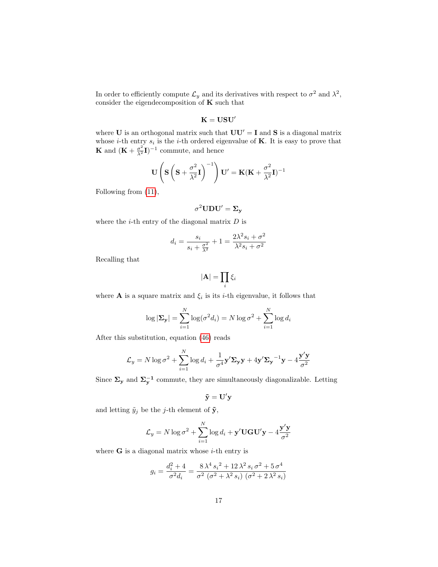In order to efficiently compute  $\mathcal{L}_y$  and its derivatives with respect to  $\sigma^2$  and  $\lambda^2$ , consider the eigendecomposition of  $K$  such that

$$
\mathbf{K}=\mathbf{USU}'
$$

where U is an orthogonal matrix such that  $UU' = I$  and S is a diagonal matrix whose *i*-th entry  $s_i$  is the *i*-th ordered eigenvalue of **K**. It is easy to prove that **K** and  $(\mathbf{K} + \frac{\sigma^2}{\lambda^2} \mathbf{I})^{-1}$  commute, and hence

$$
\mathbf{U}\left(\mathbf{S}\left(\mathbf{S}+\frac{\sigma^2}{\lambda^2}\mathbf{I}\right)^{-1}\right)\mathbf{U}'=\mathbf{K}(\mathbf{K}+\frac{\sigma^2}{\lambda^2}\mathbf{I})^{-1}
$$

Following from [\(11\)](#page-4-3),

$$
\sigma^2 \mathbf{U} \mathbf{D} \mathbf{U}' = \mathbf{\Sigma}_{\mathbf{y}}
$$

where the  $i$ -th entry of the diagonal matrix  $D$  is

$$
d_{i} = \frac{s_{i}}{s_{i} + \frac{\sigma^{2}}{\lambda^{2}}} + 1 = \frac{2\lambda^{2}s_{i} + \sigma^{2}}{\lambda^{2}s_{i} + \sigma^{2}}
$$

Recalling that

$$
|\mathbf{A}|=\prod_i \xi_i
$$

where **A** is a square matrix and  $\xi_i$  is its *i*-th eigenvalue, it follows that

$$
\log |\mathbf{\Sigma}_{\mathbf{y}}| = \sum_{i=1}^{N} \log(\sigma^2 d_i) = N \log \sigma^2 + \sum_{i=1}^{N} \log d_i
$$

After this substitution, equation [\(46\)](#page-15-0) reads

$$
\mathcal{L}_y = N \log \sigma^2 + \sum_{i=1}^N \log d_i + \frac{1}{\sigma^4} \mathbf{y}' \mathbf{\Sigma}_\mathbf{y} \mathbf{y} + 4 \mathbf{y}' \mathbf{\Sigma}_\mathbf{y}^{-1} \mathbf{y} - 4 \frac{\mathbf{y}' \mathbf{y}}{\sigma^2}
$$

Since  $\Sigma_{\mathbf{y}}$  and  $\Sigma_{\mathbf{y}}^{-1}$  commute, they are simultaneously diagonalizable. Letting

$$
\mathbf{\tilde{y}}=\mathbf{U}'\mathbf{y}
$$

and letting  $\tilde{y}_j$  be the *j*-th element of  $\tilde{\mathbf{y}}$ ,

$$
\mathcal{L}_y = N \log \sigma^2 + \sum_{i=1}^{N} \log d_i + \mathbf{y}' \mathbf{U} \mathbf{G} \mathbf{U}' \mathbf{y} - 4 \frac{\mathbf{y}' \mathbf{y}}{\sigma^2}
$$

where  $\bf{G}$  is a diagonal matrix whose *i*-th entry is

$$
g_i = \frac{d_i^2 + 4}{\sigma^2 d_i} = \frac{8\lambda^4 s_i^2 + 12\lambda^2 s_i \sigma^2 + 5\sigma^4}{\sigma^2 (\sigma^2 + \lambda^2 s_i) (\sigma^2 + 2\lambda^2 s_i)}
$$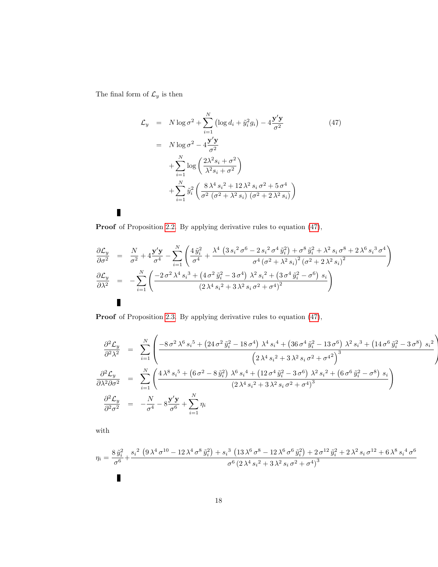The final form of  $\mathcal{L}_y$  is then

 $\blacksquare$ 

<span id="page-17-0"></span>
$$
\mathcal{L}_y = N \log \sigma^2 + \sum_{i=1}^N \left( \log d_i + \tilde{y}_i^2 g_i \right) - 4 \frac{\mathbf{y}' \mathbf{y}}{\sigma^2}
$$
\n
$$
= N \log \sigma^2 - 4 \frac{\mathbf{y}' \mathbf{y}}{\sigma^2}
$$
\n
$$
+ \sum_{i=1}^N \log \left( \frac{2\lambda^2 s_i + \sigma^2}{\lambda^2 s_i + \sigma^2} \right)
$$
\n
$$
+ \sum_{i=1}^N \tilde{y}_i^2 \left( \frac{8 \lambda^4 s_i^2 + 12 \lambda^2 s_i \sigma^2 + 5 \sigma^4}{\sigma^2 (\sigma^2 + \lambda^2 s_i) (\sigma^2 + 2 \lambda^2 s_i)} \right)
$$
\n(47)

Proof of Proposition [2.2.](#page-7-1) By applying derivative rules to equation [\(47\)](#page-17-0),

$$
\frac{\partial \mathcal{L}_{y}}{\partial \sigma^{2}} = \frac{N}{\sigma^{2}} + 4 \frac{\mathbf{y}' \mathbf{y}}{\sigma^{4}} - \sum_{i=1}^{N} \left( \frac{4 \tilde{y}_{i}^{2}}{\sigma^{4}} + \frac{\lambda^{4} \left( 3 s_{i}^{2} \sigma^{6} - 2 s_{i}^{2} \sigma^{4} \tilde{y}_{i}^{2} \right) + \sigma^{8} \tilde{y}_{i}^{2} + \lambda^{2} s_{i} \sigma^{8} + 2 \lambda^{6} s_{i}^{3} \sigma^{4}}{\sigma^{4} \left( \sigma^{2} + \lambda^{2} s_{i} \right)^{2} \left( \sigma^{2} + 2 \lambda^{2} s_{i} \right)^{2}} \right)
$$
\n
$$
\frac{\partial \mathcal{L}_{y}}{\partial \lambda^{2}} = - \sum_{i=1}^{N} \left( \frac{-2 \sigma^{2} \lambda^{4} s_{i}^{3} + \left( 4 \sigma^{2} \tilde{y}_{i}^{2} - 3 \sigma^{4} \right) \lambda^{2} s_{i}^{2} + \left( 3 \sigma^{4} \tilde{y}_{i}^{2} - \sigma^{6} \right) s_{i}}{\left( 2 \lambda^{4} s_{i}^{2} + 3 \lambda^{2} s_{i} \sigma^{2} + \sigma^{4} \right)^{2}} \right)
$$

Proof of Proposition [2.3.](#page-7-0) By applying derivative rules to equation [\(47\)](#page-17-0),

$$
\frac{\partial^2 \mathcal{L}_y}{\partial^2 \lambda^2} = \sum_{i=1}^N \left( \frac{-8 \sigma^2 \lambda^6 s_i^5 + (24 \sigma^2 \tilde{y}_i^2 - 18 \sigma^4) \lambda^4 s_i^4 + (36 \sigma^4 \tilde{y}_i^2 - 13 \sigma^6) \lambda^2 s_i^3 + (14 \sigma^6 \tilde{y}_i^2 - 3 \sigma^8) s_i^2}{\left( 2 \lambda^4 s_i^2 + 3 \lambda^2 s_i \sigma^2 + \sigma^4^2 \right)^3} \right)
$$
\n
$$
\frac{\partial^2 \mathcal{L}_y}{\partial \lambda^2 \partial \sigma^2} = \sum_{i=1}^N \left( \frac{4 \lambda^8 s_i^5 + (6 \sigma^2 - 8 \tilde{y}_i^2) \lambda^6 s_i^4 + (12 \sigma^4 \tilde{y}_i^2 - 3 \sigma^6) \lambda^2 s_i^2 + (6 \sigma^6 \tilde{y}_i^2 - \sigma^8) s_i}{(2 \lambda^4 s_i^2 + 3 \lambda^2 s_i \sigma^2 + \sigma^4)^3} \right)
$$
\n
$$
\frac{\partial^2 \mathcal{L}_y}{\partial^2 \sigma^2} = -\frac{N}{\sigma^4} - 8 \frac{\mathbf{y}' \mathbf{y}}{\sigma^6} + \sum_{i=1}^N \eta_i
$$

with

$$
\eta_{i} = \frac{8 \tilde{y}_{i}^{2} + s_{i}^{2} \left(9 \lambda^{4} \sigma^{10} - 12 \lambda^{4} \sigma^{8} \tilde{y}_{i}^{2}\right) + s_{i}^{3} \left(13 \lambda^{6} \sigma^{8} - 12 \lambda^{6} \sigma^{6} \tilde{y}_{i}^{2}\right) + 2 \sigma^{12} \tilde{y}_{i}^{2} + 2 \lambda^{2} s_{i} \sigma^{12} + 6 \lambda^{8} s_{i}^{4} \sigma^{6}}{\sigma^{6} \left(2 \lambda^{4} s_{i}^{2} + 3 \lambda^{2} s_{i} \sigma^{2} + \sigma^{4}\right)^{3}}
$$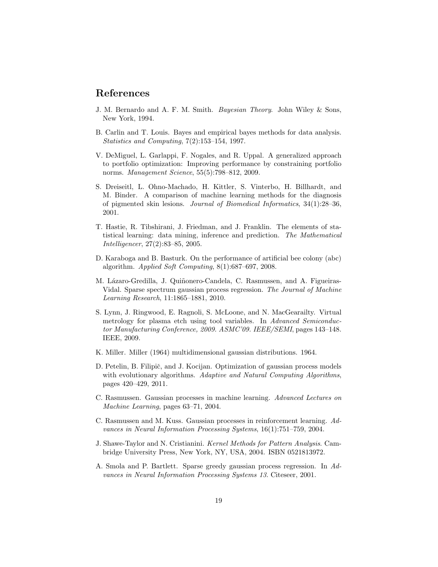### References

- <span id="page-18-4"></span>J. M. Bernardo and A. F. M. Smith. Bayesian Theory. John Wiley & Sons, New York, 1994.
- <span id="page-18-5"></span>B. Carlin and T. Louis. Bayes and empirical bayes methods for data analysis. Statistics and Computing, 7(2):153–154, 1997.
- <span id="page-18-0"></span>V. DeMiguel, L. Garlappi, F. Nogales, and R. Uppal. A generalized approach to portfolio optimization: Improving performance by constraining portfolio norms. Management Science, 55(5):798–812, 2009.
- <span id="page-18-2"></span>S. Dreiseitl, L. Ohno-Machado, H. Kittler, S. Vinterbo, H. Billhardt, and M. Binder. A comparison of machine learning methods for the diagnosis of pigmented skin lesions. Journal of Biomedical Informatics, 34(1):28–36, 2001.
- <span id="page-18-3"></span>T. Hastie, R. Tibshirani, J. Friedman, and J. Franklin. The elements of statistical learning: data mining, inference and prediction. The Mathematical Intelligencer, 27(2):83–85, 2005.
- <span id="page-18-6"></span>D. Karaboga and B. Basturk. On the performance of artificial bee colony (abc) algorithm. Applied Soft Computing, 8(1):687–697, 2008.
- <span id="page-18-8"></span>M. Lázaro-Gredilla, J. Quiñonero-Candela, C. Rasmussen, and A. Figueiras-Vidal. Sparse spectrum gaussian process regression. The Journal of Machine Learning Research, 11:1865–1881, 2010.
- <span id="page-18-1"></span>S. Lynn, J. Ringwood, E. Ragnoli, S. McLoone, and N. MacGearailty. Virtual metrology for plasma etch using tool variables. In Advanced Semiconductor Manufacturing Conference, 2009. ASMC'09. IEEE/SEMI, pages 143–148. IEEE, 2009.
- <span id="page-18-9"></span>K. Miller. Miller (1964) multidimensional gaussian distributions. 1964.
- <span id="page-18-12"></span>D. Petelin, B. Filipič, and J. Kocijan. Optimization of gaussian process models with evolutionary algorithms. Adaptive and Natural Computing Algorithms, pages 420–429, 2011.
- <span id="page-18-11"></span>C. Rasmussen. Gaussian processes in machine learning. Advanced Lectures on Machine Learning, pages 63–71, 2004.
- <span id="page-18-13"></span>C. Rasmussen and M. Kuss. Gaussian processes in reinforcement learning. Advances in Neural Information Processing Systems, 16(1):751–759, 2004.
- <span id="page-18-10"></span>J. Shawe-Taylor and N. Cristianini. Kernel Methods for Pattern Analysis. Cambridge University Press, New York, NY, USA, 2004. ISBN 0521813972.
- <span id="page-18-7"></span>A. Smola and P. Bartlett. Sparse greedy gaussian process regression. In Advances in Neural Information Processing Systems 13. Citeseer, 2001.